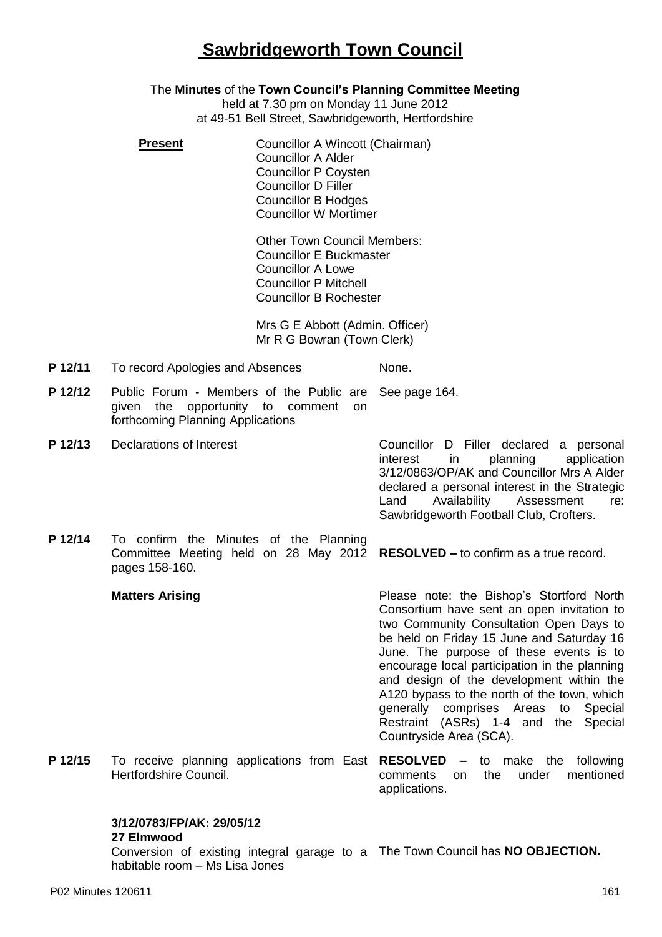## **Sawbridgeworth Town Council**

#### The **Minutes** of the **Town Council's Planning Committee Meeting**

held at 7.30 pm on Monday 11 June 2012 at 49-51 Bell Street, Sawbridgeworth, Hertfordshire

| <b>Present</b> | Councillor A Wincott (Chairman) |
|----------------|---------------------------------|
|                | <b>Councillor A Alder</b>       |
|                | <b>Councillor P Coysten</b>     |
|                | <b>Councillor D Filler</b>      |
|                | <b>Councillor B Hodges</b>      |
|                | <b>Councillor W Mortimer</b>    |
|                |                                 |

Other Town Council Members: Councillor E Buckmaster Councillor A Lowe Councillor P Mitchell Councillor B Rochester

Mrs G E Abbott (Admin. Officer) Mr R G Bowran (Town Clerk)

- **P 12/11** To record Apologies and Absences None.
- **P 12/12** Public Forum Members of the Public are See page 164. given the opportunity to comment on forthcoming Planning Applications
- 

**P 12/13** Declarations of Interest Councillor D Filler declared a personal interest in planning application 3/12/0863/OP/AK and Councillor Mrs A Alder declared a personal interest in the Strategic Land Availability Assessment re: Sawbridgeworth Football Club, Crofters.

**P 12/14** To confirm the Minutes of the Planning Committee Meeting held on 28 May 2012 **RESOLVED –** to confirm as a true record. pages 158-160.

#### **Matters Arising**

Please note: the Bishop's Stortford North Consortium have sent an open invitation to two Community Consultation Open Days to be held on Friday 15 June and Saturday 16 June. The purpose of these events is to encourage local participation in the planning and design of the development within the A120 bypass to the north of the town, which generally comprises Areas to Special Restraint (ASRs) 1-4 and the Special Countryside Area (SCA).

**P 12/15** To receive planning applications from East **RESOLVED –** to make the following Hertfordshire Council. comments on the under mentioned applications.

### **3/12/0783/FP/AK: 29/05/12**

#### **27 Elmwood**

Conversion of existing integral garage to a The Town Council has **NO OBJECTION.**habitable room – Ms Lisa Jones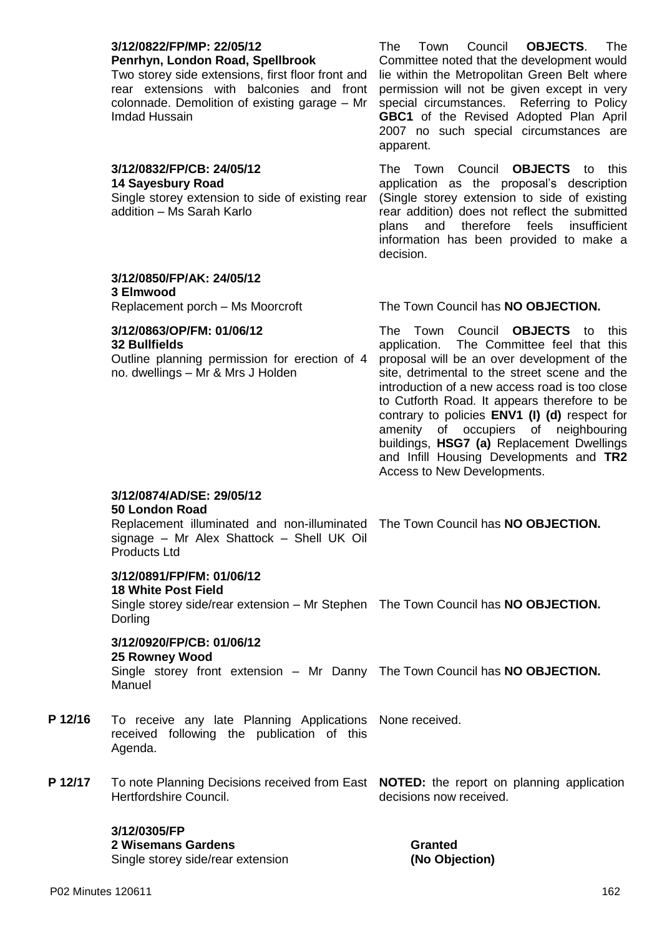| 3/12/0822/FP/MP: 22/05/12<br>Penrhyn, London Road, Spellbrook<br>Two storey side extensions, first floor front and<br>rear extensions with balconies and front<br>colonnade. Demolition of existing garage - Mr<br>Imdad Hussain | The<br>Town<br>Council<br><b>OBJECTS.</b><br>The<br>Committee noted that the development would<br>lie within the Metropolitan Green Belt where<br>permission will not be given except in very<br>special circumstances. Referring to Policy<br>GBC1 of the Revised Adopted Plan April<br>2007 no such special circumstances are<br>apparent.                                                                                                                                                                       |
|----------------------------------------------------------------------------------------------------------------------------------------------------------------------------------------------------------------------------------|--------------------------------------------------------------------------------------------------------------------------------------------------------------------------------------------------------------------------------------------------------------------------------------------------------------------------------------------------------------------------------------------------------------------------------------------------------------------------------------------------------------------|
| 3/12/0832/FP/CB: 24/05/12<br><b>14 Sayesbury Road</b><br>Single storey extension to side of existing rear<br>addition - Ms Sarah Karlo                                                                                           | The Town Council<br><b>OBJECTS</b> to<br>this<br>application as the proposal's description<br>(Single storey extension to side of existing<br>rear addition) does not reflect the submitted<br>therefore<br>feels<br>insufficient<br>plans<br>and<br>information has been provided to make a<br>decision.                                                                                                                                                                                                          |
| 3/12/0850/FP/AK: 24/05/12<br>3 Elmwood                                                                                                                                                                                           |                                                                                                                                                                                                                                                                                                                                                                                                                                                                                                                    |
| Replacement porch - Ms Moorcroft                                                                                                                                                                                                 | The Town Council has NO OBJECTION.                                                                                                                                                                                                                                                                                                                                                                                                                                                                                 |
| 3/12/0863/OP/FM: 01/06/12<br><b>32 Bullfields</b><br>Outline planning permission for erection of 4<br>no. dwellings - Mr & Mrs J Holden                                                                                          | <b>OBJECTS</b> to<br>The Town Council<br>this<br>application. The Committee feel that this<br>proposal will be an over development of the<br>site, detrimental to the street scene and the<br>introduction of a new access road is too close<br>to Cutforth Road. It appears therefore to be<br>contrary to policies ENV1 (I) (d) respect for<br>amenity<br>of occupiers<br>of neighbouring<br>buildings, HSG7 (a) Replacement Dwellings<br>and Infill Housing Developments and TR2<br>Access to New Developments. |
| 3/12/0874/AD/SE: 29/05/12<br>50 London Road<br>Replacement illuminated and non-illuminated The Town Council has NO OBJECTION.<br>signage - Mr Alex Shattock - Shell UK Oil<br><b>Products Ltd</b>                                |                                                                                                                                                                                                                                                                                                                                                                                                                                                                                                                    |
| 3/12/0891/FP/FM: 01/06/12<br><b>18 White Post Field</b><br>Single storey side/rear extension - Mr Stephen The Town Council has NO OBJECTION.<br>Dorling                                                                          |                                                                                                                                                                                                                                                                                                                                                                                                                                                                                                                    |
| 3/12/0920/FP/CB: 01/06/12<br>25 Rowney Wood<br>Single storey front extension - Mr Danny The Town Council has NO OBJECTION.<br>Manuel                                                                                             |                                                                                                                                                                                                                                                                                                                                                                                                                                                                                                                    |
| To receive any late Planning Applications None received.<br>received following the publication of this<br>Agenda.                                                                                                                |                                                                                                                                                                                                                                                                                                                                                                                                                                                                                                                    |

**P 12/17** To note Planning Decisions received from East **NOTED:** the report on planning application Hertfordshire Council. decisions now received.

#### **3/12/0305/FP 2 Wisemans Gardens**

Single storey side/rear extension

**Granted (No Objection)**

**P** 12/16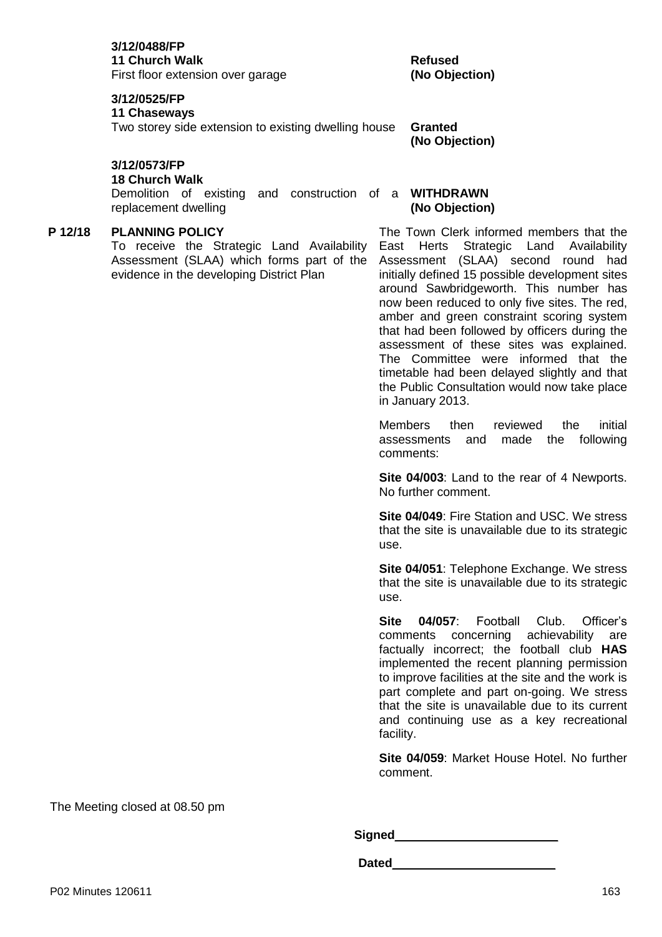First floor extension over garage

#### **3/12/0525/FP**

#### **11 Chaseways**

Two storey side extension to existing dwelling house **Granted**

#### **3/12/0573/FP**

#### **18 Church Walk**

Demolition of existing and construction of a **WITHDRAWN** replacement dwelling

#### **P 12/18 PLANNING POLICY**

To receive the Strategic Land Availability Assessment (SLAA) which forms part of the evidence in the developing District Plan

**Refused (No Objection)**

**(No Objection)**

# **(No Objection)**

The Town Clerk informed members that the East Herts Strategic Land Availability Assessment (SLAA) second round had initially defined 15 possible development sites around Sawbridgeworth. This number has now been reduced to only five sites. The red, amber and green constraint scoring system that had been followed by officers during the assessment of these sites was explained. The Committee were informed that the timetable had been delayed slightly and that the Public Consultation would now take place in January 2013.

Members then reviewed the initial assessments and made the following comments:

**Site 04/003**: Land to the rear of 4 Newports. No further comment.

**Site 04/049**: Fire Station and USC. We stress that the site is unavailable due to its strategic use.

**Site 04/051**: Telephone Exchange. We stress that the site is unavailable due to its strategic use.

**Site 04/057**: Football Club. Officer's comments concerning achievability are factually incorrect; the football club **HAS** implemented the recent planning permission to improve facilities at the site and the work is part complete and part on-going. We stress that the site is unavailable due to its current and continuing use as a key recreational facility.

**Site 04/059**: Market House Hotel. No further comment.

The Meeting closed at 08.50 pm

**Signed**\_\_\_\_\_\_\_\_\_\_\_\_\_\_\_\_\_\_\_\_\_\_\_\_

**Dated**\_\_\_\_\_\_\_\_\_\_\_\_\_\_\_\_\_\_\_\_\_\_\_\_